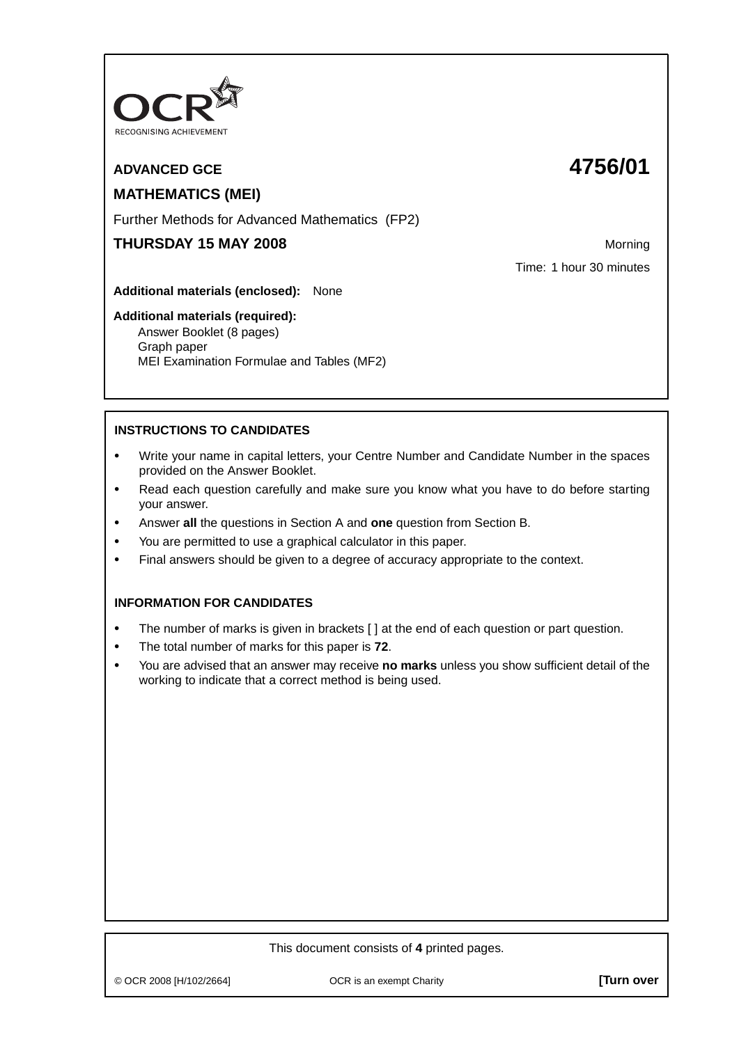

# **ADVANCED GCE 4756/01**

# **MATHEMATICS (MEI)**

Further Methods for Advanced Mathematics (FP2)

# **THURSDAY 15 MAY 2008** Morning

Time: 1 hour 30 minutes

**Additional materials (enclosed):** None

## **Additional materials (required):**

Answer Booklet (8 pages) Graph paper MEI Examination Formulae and Tables (MF2)

## **INSTRUCTIONS TO CANDIDATES**

- **•** Write your name in capital letters, your Centre Number and Candidate Number in the spaces provided on the Answer Booklet.
- **•** Read each question carefully and make sure you know what you have to do before starting your answer.
- **•** Answer **all** the questions in Section A and **one** question from Section B.
- **•** You are permitted to use a graphical calculator in this paper.
- **•** Final answers should be given to a degree of accuracy appropriate to the context.

## **INFORMATION FOR CANDIDATES**

- The number of marks is given in brackets [ ] at the end of each question or part question.
- **•** The total number of marks for this paper is **72**.
- **•** You are advised that an answer may receive **no marks** unless you show sufficient detail of the working to indicate that a correct method is being used.

### This document consists of **4** printed pages.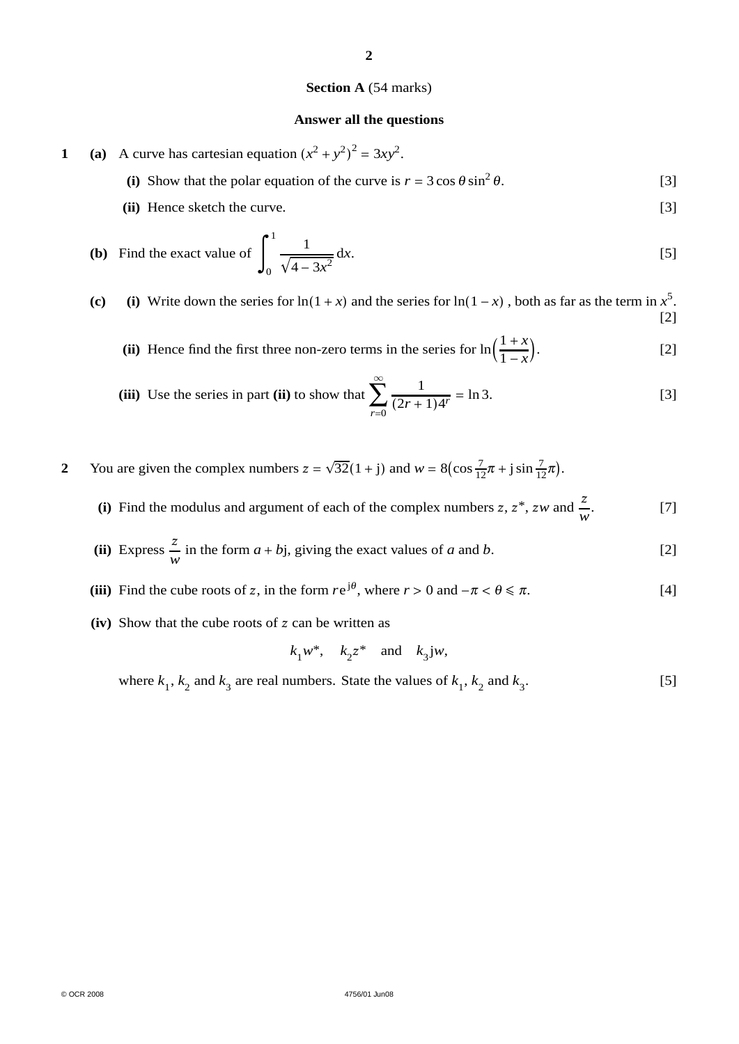#### **Section A** (54 marks)

**2**

#### **Answer all the questions**

- **1** (a) A curve has cartesian equation  $(x^2 + y^2)^2 = 3xy^2$ .
	- (i) Show that the polar equation of the curve is  $r = 3 \cos \theta \sin^2 \theta$ . [3]
	- **(ii)** Hence sketch the curve. [3]

**(b)** Find the exact value of 
$$
\int_0^1 \frac{1}{\sqrt{4 - 3x^2}} dx.
$$
 [5]

(c) (i) Write down the series for ln(1 + *x*) and the series for ln(1 − *x*), both as far as the term in  $x^5$ . [2]

**(ii)** Hence find the first three non-zero terms in the series for ln  $\frac{1+x}{x}$ 1 − *x*  $\left[2\right]$ 

(iii) Use the series in part (ii) to show that 
$$
\sum_{r=0}^{\infty} \frac{1}{(2r+1)4^r} = \ln 3.
$$
 [3]

**2** You are given the complex numbers  $z = \sqrt{32}(1 + j)$  and  $w = 8(\cos \frac{7}{12}\pi + j \sin \frac{7}{12}\pi)$ .

- (i) Find the modulus and argument of each of the complex numbers  $z, z^*$ ,  $zw$  and  $\frac{z}{w}$ . [7]
- (ii) Express  $\frac{z}{w}$  in the form  $a + bj$ , giving the exact values of *a* and *b*. [2]
- (iii) Find the cube roots of z, in the form  $re^{j\theta}$ , where  $r > 0$  and  $-\pi < \theta \le \pi$ . [4]
- **(iv)** Show that the cube roots of z can be written as

$$
k_1 w^*
$$
,  $k_2 z^*$  and  $k_3 jw$ ,

where  $k_1$ ,  $k_2$  and  $k_3$  are real numbers. State the values of  $k_1$ ,  $k_2$  and  $k_3$ . [5]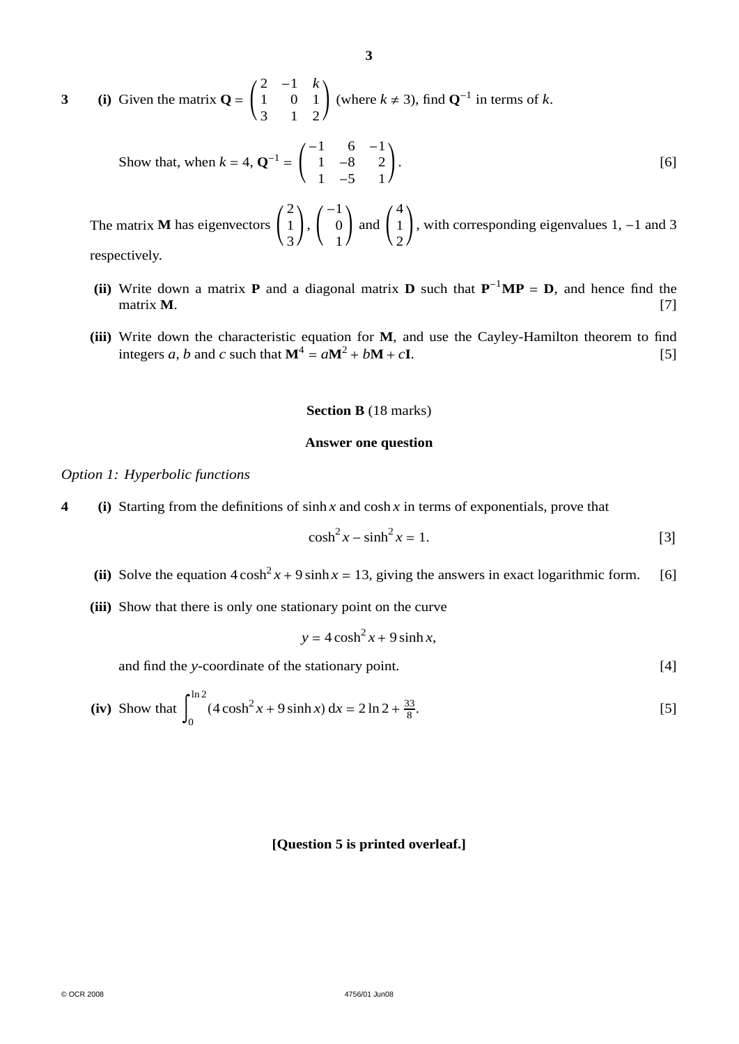**3** (i) Given the matrix  $Q = \begin{bmatrix} 1 & 0 \\ 0 & 1 \end{bmatrix}$ 2 −1 *k*  $\begin{pmatrix} 1 & 0 & 1 \\ 3 & 1 & 2 \end{pmatrix}$  (where  $k \neq 3$ ), find **Q**<sup>-1</sup> in terms of *k*.

Show that, when 
$$
k = 4
$$
,  $\mathbf{Q}^{-1} = \begin{pmatrix} -1 & 6 & -1 \\ 1 & -8 & 2 \\ 1 & -5 & 1 \end{pmatrix}$ . [6]

The matrix **M** has eigenvectors 2 1 3  $\vert \cdot \vert$ −1  $\boldsymbol{0}$ 1 and 4 1 2 , with corresponding eigenvalues 1, −1 and 3 respectively.

- **(ii)** Write down a matrix **P** and a diagonal matrix **D** such that  $P^{-1}MP = D$ , and hence find the matrix **M**. [7]
- **(iii)** Write down the characteristic equation for **M**, and use the Cayley-Hamilton theorem to find integers *a*, *b* and *c* such that  $M^4 = aM^2 + bM + cI$ . [5]

#### **Section B** (18 marks)

#### **Answer one question**

#### *Option 1: Hyperbolic functions*

**4 (i)** Starting from the definitions of sinh *x* and cosh *x* in terms of exponentials, prove that

$$
\cosh^2 x - \sinh^2 x = 1. \tag{3}
$$

- (ii) Solve the equation  $4 \cosh^2 x + 9 \sinh x = 13$ , giving the answers in exact logarithmic form. [6]
- **(iii)** Show that there is only one stationary point on the curve

$$
y = 4\cosh^2 x + 9\sinh x,
$$

and find the *y*-coordinate of the stationary point. [4]

(iv) Show that 
$$
\int_0^{\ln 2} (4 \cosh^2 x + 9 \sinh x) dx = 2 \ln 2 + \frac{33}{8}.
$$
 [5]

#### **[Question 5 is printed overleaf.]**